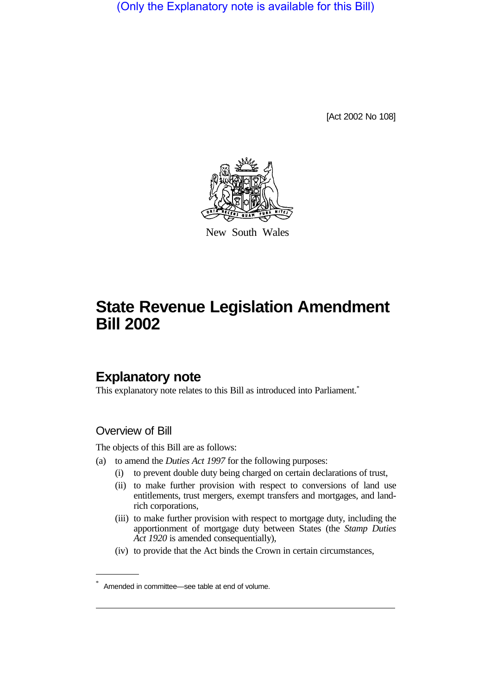(Only the Explanatory note is available for this Bill)

[Act 2002 No 108]



New South Wales

# **State Revenue Legislation Amendment Bill 2002**

# **Explanatory note**

This explanatory note relates to this Bill as introduced into Parliament.<sup>\*</sup>

# Overview of Bill

The objects of this Bill are as follows:

- (a) to amend the *Duties Act 1997* for the following purposes:
	- (i) to prevent double duty being charged on certain declarations of trust,
	- (ii) to make further provision with respect to conversions of land use entitlements, trust mergers, exempt transfers and mortgages, and landrich corporations,
	- (iii) to make further provision with respect to mortgage duty, including the apportionment of mortgage duty between States (the *Stamp Duties Act 1920* is amended consequentially),
	- (iv) to provide that the Act binds the Crown in certain circumstances,

Amended in committee—see table at end of volume.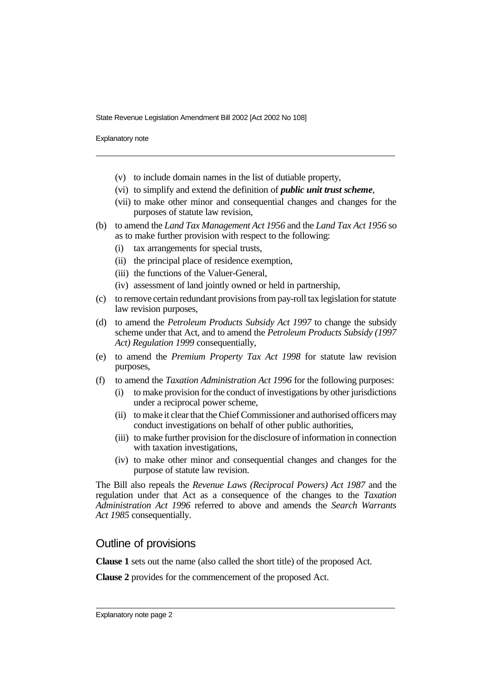Explanatory note

- (v) to include domain names in the list of dutiable property,
- (vi) to simplify and extend the definition of *public unit trust scheme*,
- (vii) to make other minor and consequential changes and changes for the purposes of statute law revision,
- (b) to amend the *Land Tax Management Act 1956* and the *Land Tax Act 1956* so as to make further provision with respect to the following:
	- (i) tax arrangements for special trusts,
	- (ii) the principal place of residence exemption,
	- (iii) the functions of the Valuer-General,
	- (iv) assessment of land jointly owned or held in partnership,
- (c) to remove certain redundant provisions from pay-roll tax legislation for statute law revision purposes,
- (d) to amend the *Petroleum Products Subsidy Act 1997* to change the subsidy scheme under that Act, and to amend the *Petroleum Products Subsidy (1997 Act) Regulation 1999* consequentially,
- (e) to amend the *Premium Property Tax Act 1998* for statute law revision purposes,
- (f) to amend the *Taxation Administration Act 1996* for the following purposes:
	- (i) to make provision for the conduct of investigations by other jurisdictions under a reciprocal power scheme,
	- (ii) to make it clear that the Chief Commissioner and authorised officers may conduct investigations on behalf of other public authorities,
	- (iii) to make further provision for the disclosure of information in connection with taxation investigations.
	- (iv) to make other minor and consequential changes and changes for the purpose of statute law revision.

The Bill also repeals the *Revenue Laws (Reciprocal Powers) Act 1987* and the regulation under that Act as a consequence of the changes to the *Taxation Administration Act 1996* referred to above and amends the *Search Warrants Act 1985* consequentially.

# Outline of provisions

**Clause 1** sets out the name (also called the short title) of the proposed Act.

**Clause 2** provides for the commencement of the proposed Act.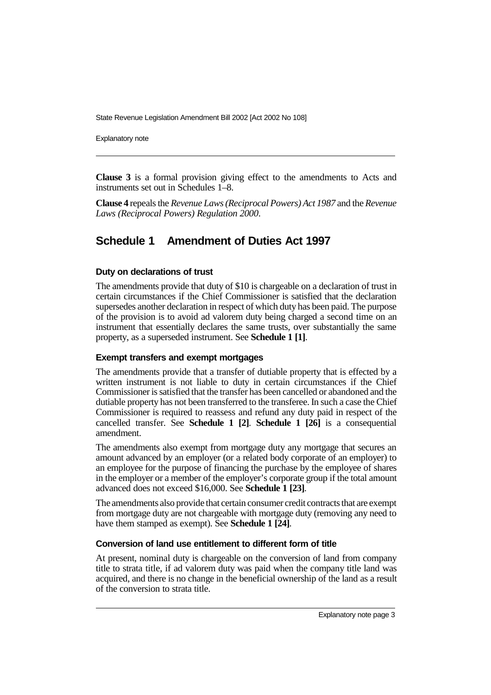Explanatory note

**Clause 3** is a formal provision giving effect to the amendments to Acts and instruments set out in Schedules 1–8.

**Clause 4** repeals the *Revenue Laws (Reciprocal Powers) Act 1987* and the *Revenue Laws (Reciprocal Powers) Regulation 2000*.

# **Schedule 1 Amendment of Duties Act 1997**

#### **Duty on declarations of trust**

The amendments provide that duty of \$10 is chargeable on a declaration of trust in certain circumstances if the Chief Commissioner is satisfied that the declaration supersedes another declaration in respect of which duty has been paid. The purpose of the provision is to avoid ad valorem duty being charged a second time on an instrument that essentially declares the same trusts, over substantially the same property, as a superseded instrument. See **Schedule 1 [1]**.

### **Exempt transfers and exempt mortgages**

The amendments provide that a transfer of dutiable property that is effected by a written instrument is not liable to duty in certain circumstances if the Chief Commissioner is satisfied that the transfer has been cancelled or abandoned and the dutiable property has not been transferred to the transferee. In such a case the Chief Commissioner is required to reassess and refund any duty paid in respect of the cancelled transfer. See **Schedule 1 [2]**. **Schedule 1 [26]** is a consequential amendment.

The amendments also exempt from mortgage duty any mortgage that secures an amount advanced by an employer (or a related body corporate of an employer) to an employee for the purpose of financing the purchase by the employee of shares in the employer or a member of the employer's corporate group if the total amount advanced does not exceed \$16,000. See **Schedule 1 [23]**.

The amendments also provide that certain consumer credit contracts that are exempt from mortgage duty are not chargeable with mortgage duty (removing any need to have them stamped as exempt). See **Schedule 1 [24]**.

#### **Conversion of land use entitlement to different form of title**

At present, nominal duty is chargeable on the conversion of land from company title to strata title, if ad valorem duty was paid when the company title land was acquired, and there is no change in the beneficial ownership of the land as a result of the conversion to strata title.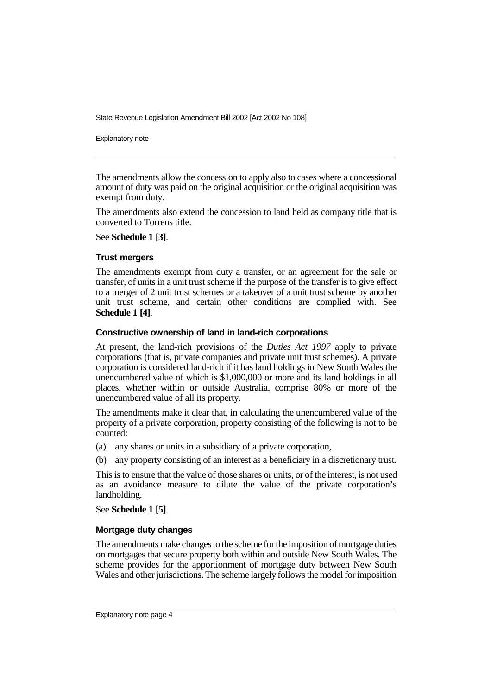Explanatory note

The amendments allow the concession to apply also to cases where a concessional amount of duty was paid on the original acquisition or the original acquisition was exempt from duty.

The amendments also extend the concession to land held as company title that is converted to Torrens title.

See **Schedule 1 [3]**.

#### **Trust mergers**

The amendments exempt from duty a transfer, or an agreement for the sale or transfer, of units in a unit trust scheme if the purpose of the transfer is to give effect to a merger of 2 unit trust schemes or a takeover of a unit trust scheme by another unit trust scheme, and certain other conditions are complied with. See **Schedule 1 [4]**.

#### **Constructive ownership of land in land-rich corporations**

At present, the land-rich provisions of the *Duties Act 1997* apply to private corporations (that is, private companies and private unit trust schemes). A private corporation is considered land-rich if it has land holdings in New South Wales the unencumbered value of which is \$1,000,000 or more and its land holdings in all places, whether within or outside Australia, comprise 80% or more of the unencumbered value of all its property.

The amendments make it clear that, in calculating the unencumbered value of the property of a private corporation, property consisting of the following is not to be counted:

(a) any shares or units in a subsidiary of a private corporation,

(b) any property consisting of an interest as a beneficiary in a discretionary trust.

This is to ensure that the value of those shares or units, or of the interest, is not used as an avoidance measure to dilute the value of the private corporation's landholding.

See **Schedule 1 [5]**.

#### **Mortgage duty changes**

The amendments make changes to the scheme for the imposition of mortgage duties on mortgages that secure property both within and outside New South Wales. The scheme provides for the apportionment of mortgage duty between New South Wales and other jurisdictions. The scheme largely follows the model for imposition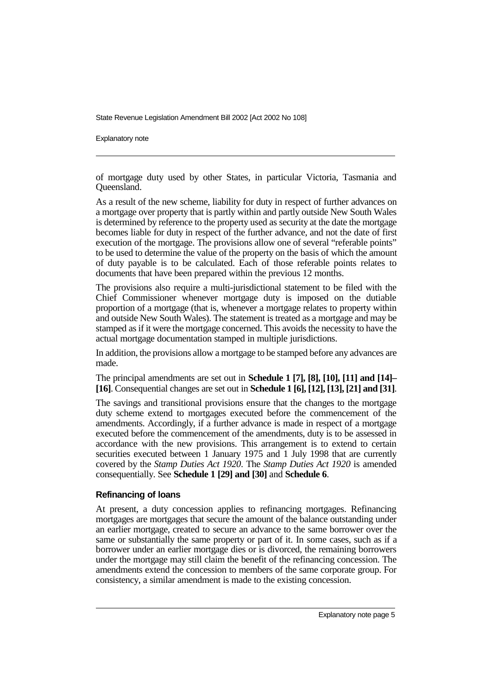Explanatory note

of mortgage duty used by other States, in particular Victoria, Tasmania and Queensland.

As a result of the new scheme, liability for duty in respect of further advances on a mortgage over property that is partly within and partly outside New South Wales is determined by reference to the property used as security at the date the mortgage becomes liable for duty in respect of the further advance, and not the date of first execution of the mortgage. The provisions allow one of several "referable points" to be used to determine the value of the property on the basis of which the amount of duty payable is to be calculated. Each of those referable points relates to documents that have been prepared within the previous 12 months.

The provisions also require a multi-jurisdictional statement to be filed with the Chief Commissioner whenever mortgage duty is imposed on the dutiable proportion of a mortgage (that is, whenever a mortgage relates to property within and outside New South Wales). The statement is treated as a mortgage and may be stamped as if it were the mortgage concerned. This avoids the necessity to have the actual mortgage documentation stamped in multiple jurisdictions.

In addition, the provisions allow a mortgage to be stamped before any advances are made.

The principal amendments are set out in **Schedule 1 [7], [8], [10], [11] and [14]– [16]**. Consequential changes are set out in **Schedule 1 [6], [12], [13], [21] and [31]**.

The savings and transitional provisions ensure that the changes to the mortgage duty scheme extend to mortgages executed before the commencement of the amendments. Accordingly, if a further advance is made in respect of a mortgage executed before the commencement of the amendments, duty is to be assessed in accordance with the new provisions. This arrangement is to extend to certain securities executed between 1 January 1975 and 1 July 1998 that are currently covered by the *Stamp Duties Act 1920*. The *Stamp Duties Act 1920* is amended consequentially. See **Schedule 1 [29] and [30]** and **Schedule 6**.

## **Refinancing of loans**

At present, a duty concession applies to refinancing mortgages. Refinancing mortgages are mortgages that secure the amount of the balance outstanding under an earlier mortgage, created to secure an advance to the same borrower over the same or substantially the same property or part of it. In some cases, such as if a borrower under an earlier mortgage dies or is divorced, the remaining borrowers under the mortgage may still claim the benefit of the refinancing concession. The amendments extend the concession to members of the same corporate group. For consistency, a similar amendment is made to the existing concession.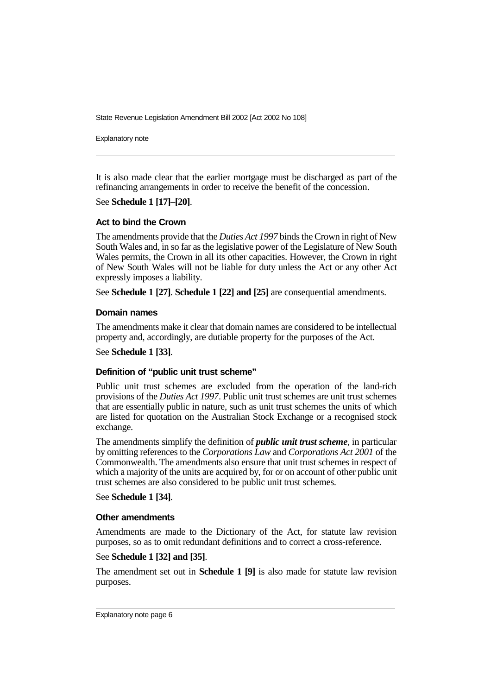Explanatory note

It is also made clear that the earlier mortgage must be discharged as part of the refinancing arrangements in order to receive the benefit of the concession.

See **Schedule 1 [17]–[20]**.

### **Act to bind the Crown**

The amendments provide that the *Duties Act 1997* binds the Crown in right of New South Wales and, in so far as the legislative power of the Legislature of New South Wales permits, the Crown in all its other capacities. However, the Crown in right of New South Wales will not be liable for duty unless the Act or any other Act expressly imposes a liability.

See **Schedule 1 [27]**. **Schedule 1 [22] and [25]** are consequential amendments.

### **Domain names**

The amendments make it clear that domain names are considered to be intellectual property and, accordingly, are dutiable property for the purposes of the Act.

#### See **Schedule 1 [33]**.

### **Definition of "public unit trust scheme"**

Public unit trust schemes are excluded from the operation of the land-rich provisions of the *Duties Act 1997*. Public unit trust schemes are unit trust schemes that are essentially public in nature, such as unit trust schemes the units of which are listed for quotation on the Australian Stock Exchange or a recognised stock exchange.

The amendments simplify the definition of *public unit trust scheme*, in particular by omitting references to the *Corporations Law* and *Corporations Act 2001* of the Commonwealth. The amendments also ensure that unit trust schemes in respect of which a majority of the units are acquired by, for or on account of other public unit trust schemes are also considered to be public unit trust schemes.

#### See **Schedule 1 [34]**.

#### **Other amendments**

Amendments are made to the Dictionary of the Act, for statute law revision purposes, so as to omit redundant definitions and to correct a cross-reference.

### See **Schedule 1 [32] and [35]**.

The amendment set out in **Schedule 1 [9]** is also made for statute law revision purposes.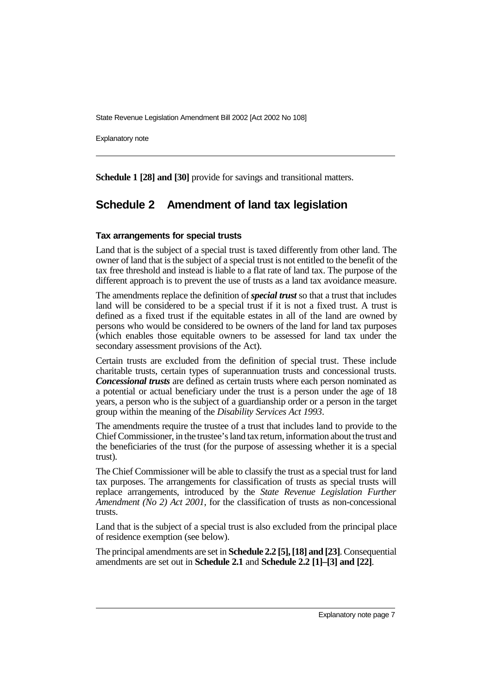Explanatory note

**Schedule 1 [28] and [30]** provide for savings and transitional matters.

# **Schedule 2 Amendment of land tax legislation**

### **Tax arrangements for special trusts**

Land that is the subject of a special trust is taxed differently from other land. The owner of land that is the subject of a special trust is not entitled to the benefit of the tax free threshold and instead is liable to a flat rate of land tax. The purpose of the different approach is to prevent the use of trusts as a land tax avoidance measure.

The amendments replace the definition of *special trust* so that a trust that includes land will be considered to be a special trust if it is not a fixed trust. A trust is defined as a fixed trust if the equitable estates in all of the land are owned by persons who would be considered to be owners of the land for land tax purposes (which enables those equitable owners to be assessed for land tax under the secondary assessment provisions of the Act).

Certain trusts are excluded from the definition of special trust. These include charitable trusts, certain types of superannuation trusts and concessional trusts. *Concessional trusts* are defined as certain trusts where each person nominated as a potential or actual beneficiary under the trust is a person under the age of 18 years, a person who is the subject of a guardianship order or a person in the target group within the meaning of the *Disability Services Act 1993*.

The amendments require the trustee of a trust that includes land to provide to the Chief Commissioner, in the trustee's land tax return, information about the trust and the beneficiaries of the trust (for the purpose of assessing whether it is a special trust).

The Chief Commissioner will be able to classify the trust as a special trust for land tax purposes. The arrangements for classification of trusts as special trusts will replace arrangements, introduced by the *State Revenue Legislation Further Amendment (No 2) Act 2001*, for the classification of trusts as non-concessional trusts.

Land that is the subject of a special trust is also excluded from the principal place of residence exemption (see below).

The principal amendments are set in **Schedule 2.2 [5], [18] and [23]**. Consequential amendments are set out in **Schedule 2.1** and **Schedule 2.2 [1]–[3] and [22]**.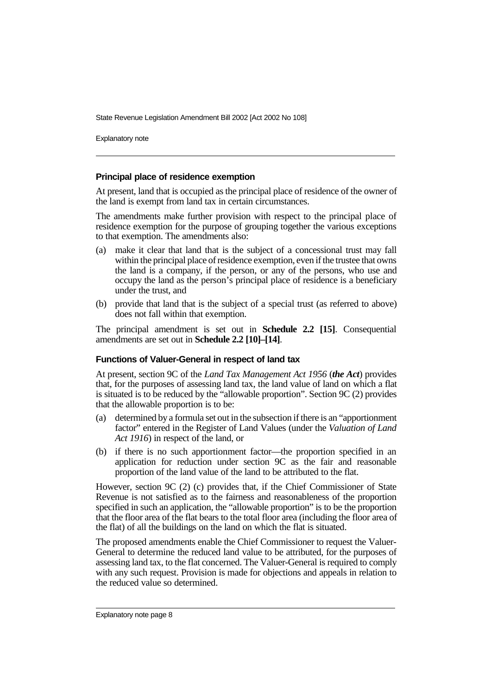Explanatory note

#### **Principal place of residence exemption**

At present, land that is occupied as the principal place of residence of the owner of the land is exempt from land tax in certain circumstances.

The amendments make further provision with respect to the principal place of residence exemption for the purpose of grouping together the various exceptions to that exemption. The amendments also:

- (a) make it clear that land that is the subject of a concessional trust may fall within the principal place of residence exemption, even if the trustee that owns the land is a company, if the person, or any of the persons, who use and occupy the land as the person's principal place of residence is a beneficiary under the trust, and
- (b) provide that land that is the subject of a special trust (as referred to above) does not fall within that exemption.

The principal amendment is set out in **Schedule 2.2 [15]**. Consequential amendments are set out in **Schedule 2.2 [10]–[14]**.

### **Functions of Valuer-General in respect of land tax**

At present, section 9C of the *Land Tax Management Act 1956* (*the Act*) provides that, for the purposes of assessing land tax, the land value of land on which a flat is situated is to be reduced by the "allowable proportion". Section 9C (2) provides that the allowable proportion is to be:

- (a) determined by a formula set out in the subsection if there is an "apportionment factor" entered in the Register of Land Values (under the *Valuation of Land Act 1916*) in respect of the land, or
- (b) if there is no such apportionment factor—the proportion specified in an application for reduction under section 9C as the fair and reasonable proportion of the land value of the land to be attributed to the flat.

However, section 9C (2) (c) provides that, if the Chief Commissioner of State Revenue is not satisfied as to the fairness and reasonableness of the proportion specified in such an application, the "allowable proportion" is to be the proportion that the floor area of the flat bears to the total floor area (including the floor area of the flat) of all the buildings on the land on which the flat is situated.

The proposed amendments enable the Chief Commissioner to request the Valuer-General to determine the reduced land value to be attributed, for the purposes of assessing land tax, to the flat concerned. The Valuer-General is required to comply with any such request. Provision is made for objections and appeals in relation to the reduced value so determined.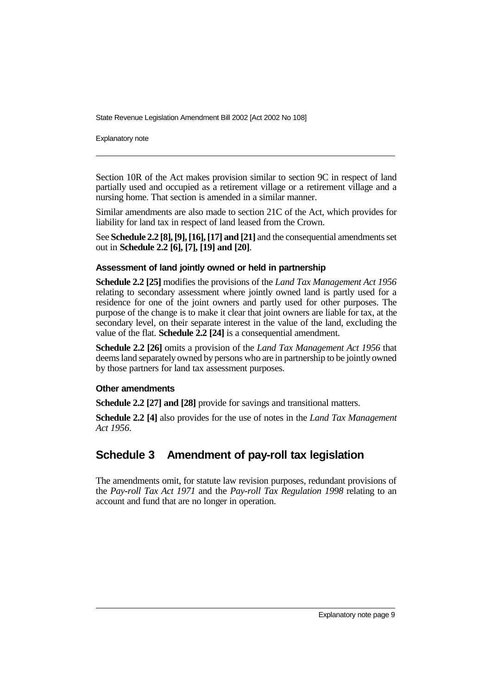Explanatory note

Section 10R of the Act makes provision similar to section 9C in respect of land partially used and occupied as a retirement village or a retirement village and a nursing home. That section is amended in a similar manner.

Similar amendments are also made to section 21C of the Act, which provides for liability for land tax in respect of land leased from the Crown.

See **Schedule 2.2 [8], [9], [16], [17] and [21]** and the consequential amendments set out in **Schedule 2.2 [6], [7], [19] and [20]**.

#### **Assessment of land jointly owned or held in partnership**

**Schedule 2.2 [25]** modifies the provisions of the *Land Tax Management Act 1956* relating to secondary assessment where jointly owned land is partly used for a residence for one of the joint owners and partly used for other purposes. The purpose of the change is to make it clear that joint owners are liable for tax, at the secondary level, on their separate interest in the value of the land, excluding the value of the flat. **Schedule 2.2 [24]** is a consequential amendment.

**Schedule 2.2 [26]** omits a provision of the *Land Tax Management Act 1956* that deems land separately owned by persons who are in partnership to be jointly owned by those partners for land tax assessment purposes.

### **Other amendments**

**Schedule 2.2 [27] and [28]** provide for savings and transitional matters.

**Schedule 2.2 [4]** also provides for the use of notes in the *Land Tax Management Act 1956*.

# **Schedule 3 Amendment of pay-roll tax legislation**

The amendments omit, for statute law revision purposes, redundant provisions of the *Pay-roll Tax Act 1971* and the *Pay-roll Tax Regulation 1998* relating to an account and fund that are no longer in operation.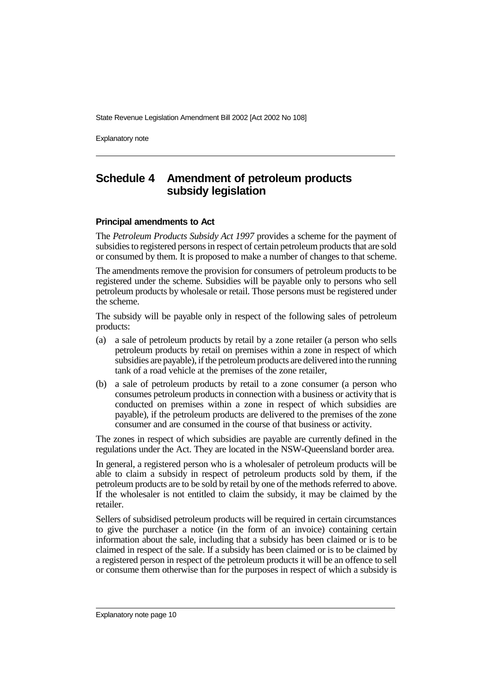Explanatory note

# **Schedule 4 Amendment of petroleum products subsidy legislation**

#### **Principal amendments to Act**

The *Petroleum Products Subsidy Act 1997* provides a scheme for the payment of subsidies to registered persons in respect of certain petroleum products that are sold or consumed by them. It is proposed to make a number of changes to that scheme.

The amendments remove the provision for consumers of petroleum products to be registered under the scheme. Subsidies will be payable only to persons who sell petroleum products by wholesale or retail. Those persons must be registered under the scheme.

The subsidy will be payable only in respect of the following sales of petroleum products:

- (a) a sale of petroleum products by retail by a zone retailer (a person who sells petroleum products by retail on premises within a zone in respect of which subsidies are payable), if the petroleum products are delivered into the running tank of a road vehicle at the premises of the zone retailer,
- (b) a sale of petroleum products by retail to a zone consumer (a person who consumes petroleum products in connection with a business or activity that is conducted on premises within a zone in respect of which subsidies are payable), if the petroleum products are delivered to the premises of the zone consumer and are consumed in the course of that business or activity.

The zones in respect of which subsidies are payable are currently defined in the regulations under the Act. They are located in the NSW-Queensland border area.

In general, a registered person who is a wholesaler of petroleum products will be able to claim a subsidy in respect of petroleum products sold by them, if the petroleum products are to be sold by retail by one of the methods referred to above. If the wholesaler is not entitled to claim the subsidy, it may be claimed by the retailer.

Sellers of subsidised petroleum products will be required in certain circumstances to give the purchaser a notice (in the form of an invoice) containing certain information about the sale, including that a subsidy has been claimed or is to be claimed in respect of the sale. If a subsidy has been claimed or is to be claimed by a registered person in respect of the petroleum products it will be an offence to sell or consume them otherwise than for the purposes in respect of which a subsidy is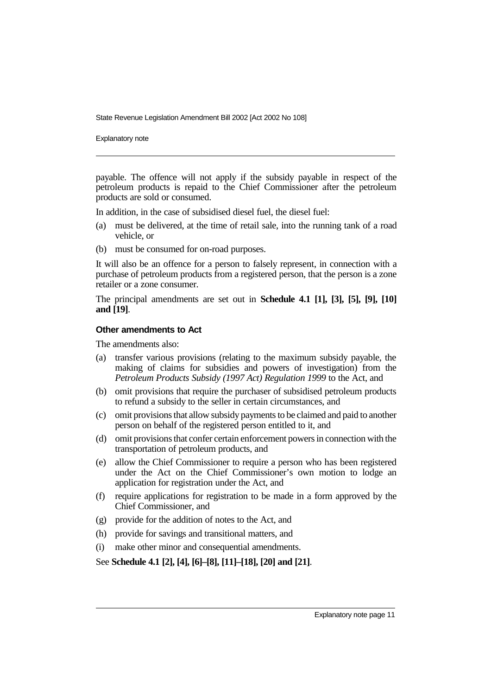Explanatory note

payable. The offence will not apply if the subsidy payable in respect of the petroleum products is repaid to the Chief Commissioner after the petroleum products are sold or consumed.

In addition, in the case of subsidised diesel fuel, the diesel fuel:

- (a) must be delivered, at the time of retail sale, into the running tank of a road vehicle, or
- (b) must be consumed for on-road purposes.

It will also be an offence for a person to falsely represent, in connection with a purchase of petroleum products from a registered person, that the person is a zone retailer or a zone consumer.

The principal amendments are set out in **Schedule 4.1 [1], [3], [5], [9], [10] and [19]**.

### **Other amendments to Act**

The amendments also:

- (a) transfer various provisions (relating to the maximum subsidy payable, the making of claims for subsidies and powers of investigation) from the *Petroleum Products Subsidy (1997 Act) Regulation 1999* to the Act, and
- (b) omit provisions that require the purchaser of subsidised petroleum products to refund a subsidy to the seller in certain circumstances, and
- (c) omit provisions that allow subsidy payments to be claimed and paid to another person on behalf of the registered person entitled to it, and
- (d) omit provisions that confer certain enforcement powers in connection with the transportation of petroleum products, and
- (e) allow the Chief Commissioner to require a person who has been registered under the Act on the Chief Commissioner's own motion to lodge an application for registration under the Act, and
- (f) require applications for registration to be made in a form approved by the Chief Commissioner, and
- (g) provide for the addition of notes to the Act, and
- (h) provide for savings and transitional matters, and
- (i) make other minor and consequential amendments.

See **Schedule 4.1 [2], [4], [6]–[8], [11]–[18], [20] and [21]**.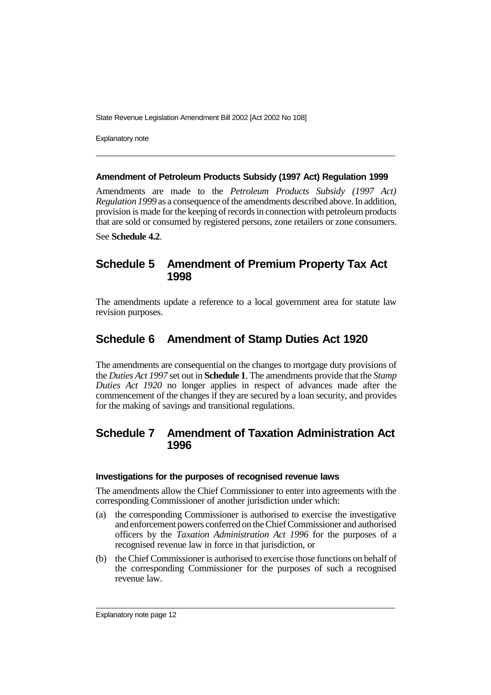Explanatory note

#### **Amendment of Petroleum Products Subsidy (1997 Act) Regulation 1999**

Amendments are made to the *Petroleum Products Subsidy (1997 Act) Regulation 1999* as a consequence of the amendments described above. In addition, provision is made for the keeping of records in connection with petroleum products that are sold or consumed by registered persons, zone retailers or zone consumers.

See **Schedule 4.2**.

# **Schedule 5 Amendment of Premium Property Tax Act 1998**

The amendments update a reference to a local government area for statute law revision purposes.

# **Schedule 6 Amendment of Stamp Duties Act 1920**

The amendments are consequential on the changes to mortgage duty provisions of the *Duties Act 1997* set out in **Schedule 1**. The amendments provide that the *Stamp Duties Act 1920* no longer applies in respect of advances made after the commencement of the changes if they are secured by a loan security, and provides for the making of savings and transitional regulations.

# **Schedule 7 Amendment of Taxation Administration Act 1996**

### **Investigations for the purposes of recognised revenue laws**

The amendments allow the Chief Commissioner to enter into agreements with the corresponding Commissioner of another jurisdiction under which:

- (a) the corresponding Commissioner is authorised to exercise the investigative and enforcement powers conferred on the Chief Commissioner and authorised officers by the *Taxation Administration Act 1996* for the purposes of a recognised revenue law in force in that jurisdiction, or
- (b) the Chief Commissioner is authorised to exercise those functions on behalf of the corresponding Commissioner for the purposes of such a recognised revenue law.